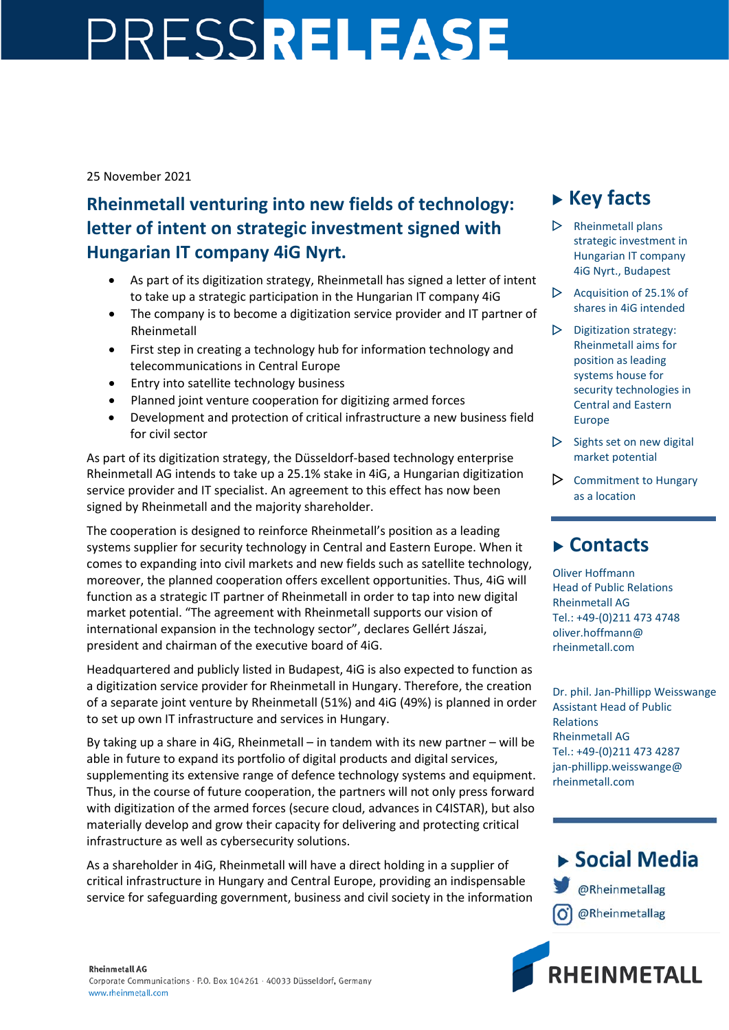## PRESSRELEASE

25 November 2021

## **Rheinmetall venturing into new fields of technology: letter of intent on strategic investment signed with Hungarian IT company 4iG Nyrt.**

- As part of its digitization strategy, Rheinmetall has signed a letter of intent to take up a strategic participation in the Hungarian IT company 4iG
- The company is to become a digitization service provider and IT partner of Rheinmetall
- First step in creating a technology hub for information technology and telecommunications in Central Europe
- Entry into satellite technology business
- Planned joint venture cooperation for digitizing armed forces
- Development and protection of critical infrastructure a new business field for civil sector

As part of its digitization strategy, the Düsseldorf-based technology enterprise Rheinmetall AG intends to take up a 25.1% stake in 4iG, a Hungarian digitization service provider and IT specialist. An agreement to this effect has now been signed by Rheinmetall and the majority shareholder.

The cooperation is designed to reinforce Rheinmetall's position as a leading systems supplier for security technology in Central and Eastern Europe. When it comes to expanding into civil markets and new fields such as satellite technology, moreover, the planned cooperation offers excellent opportunities. Thus, 4iG will function as a strategic IT partner of Rheinmetall in order to tap into new digital market potential. "The agreement with Rheinmetall supports our vision of international expansion in the technology sector", declares Gellért Jászai, president and chairman of the executive board of 4iG.

Headquartered and publicly listed in Budapest, 4iG is also expected to function as a digitization service provider for Rheinmetall in Hungary. Therefore, the creation of a separate joint venture by Rheinmetall (51%) and 4iG (49%) is planned in order to set up own IT infrastructure and services in Hungary.

By taking up a share in 4iG, Rheinmetall – in tandem with its new partner – will be able in future to expand its portfolio of digital products and digital services, supplementing its extensive range of defence technology systems and equipment. Thus, in the course of future cooperation, the partners will not only press forward with digitization of the armed forces (secure cloud, advances in C4ISTAR), but also materially develop and grow their capacity for delivering and protecting critical infrastructure as well as cybersecurity solutions.

As a shareholder in 4iG, Rheinmetall will have a direct holding in a supplier of critical infrastructure in Hungary and Central Europe, providing an indispensable service for safeguarding government, business and civil society in the information

## **Key facts**

- $\triangleright$  Rheinmetall plans strategic investment in Hungarian IT company 4iG Nyrt., Budapest
- $\triangleright$  Acquisition of 25.1% of shares in 4iG intended
- $\triangleright$  Digitization strategy: Rheinmetall aims for position as leading systems house for security technologies in Central and Eastern Europe
- $\triangleright$  Sights set on new digital market potential
- $\triangleright$  Commitment to Hungary as a location

## **Contacts**

Oliver Hoffmann Head of Public Relations Rheinmetall AG Tel.: +49-(0)211 473 4748 oliver.hoffmann@ rheinmetall.com

Dr. phil. Jan-Phillipp Weisswange Assistant Head of Public Relations Rheinmetall AG Tel.: +49-(0)211 473 4287 jan-phillipp.weisswange@ rheinmetall.com